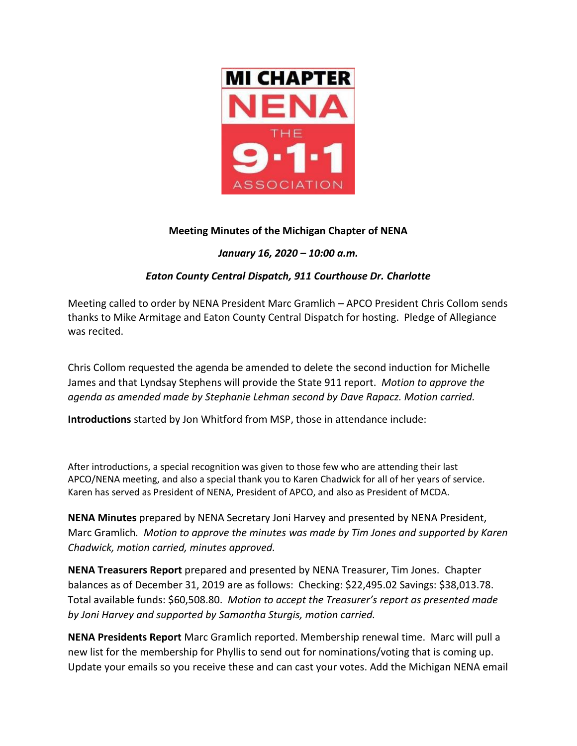

# **Meeting Minutes of the Michigan Chapter of NENA**

# *January 16, 2020 – 10:00 a.m.*

# *Eaton County Central Dispatch, 911 Courthouse Dr. Charlotte*

Meeting called to order by NENA President Marc Gramlich – APCO President Chris Collom sends thanks to Mike Armitage and Eaton County Central Dispatch for hosting. Pledge of Allegiance was recited.

Chris Collom requested the agenda be amended to delete the second induction for Michelle James and that Lyndsay Stephens will provide the State 911 report. *Motion to approve the agenda as amended made by Stephanie Lehman second by Dave Rapacz. Motion carried.*

**Introductions** started by Jon Whitford from MSP, those in attendance include:

After introductions, a special recognition was given to those few who are attending their last APCO/NENA meeting, and also a special thank you to Karen Chadwick for all of her years of service. Karen has served as President of NENA, President of APCO, and also as President of MCDA.

**NENA Minutes** prepared by NENA Secretary Joni Harvey and presented by NENA President, Marc Gramlich*. Motion to approve the minutes was made by Tim Jones and supported by Karen Chadwick, motion carried, minutes approved.*

**NENA Treasurers Report** prepared and presented by NENA Treasurer, Tim Jones. Chapter balances as of December 31, 2019 are as follows: Checking: \$22,495.02 Savings: \$38,013.78. Total available funds: \$60,508.80. *Motion to accept the Treasurer's report as presented made by Joni Harvey and supported by Samantha Sturgis, motion carried.* 

**NENA Presidents Report** Marc Gramlich reported. Membership renewal time. Marc will pull a new list for the membership for Phyllis to send out for nominations/voting that is coming up. Update your emails so you receive these and can cast your votes. Add the Michigan NENA email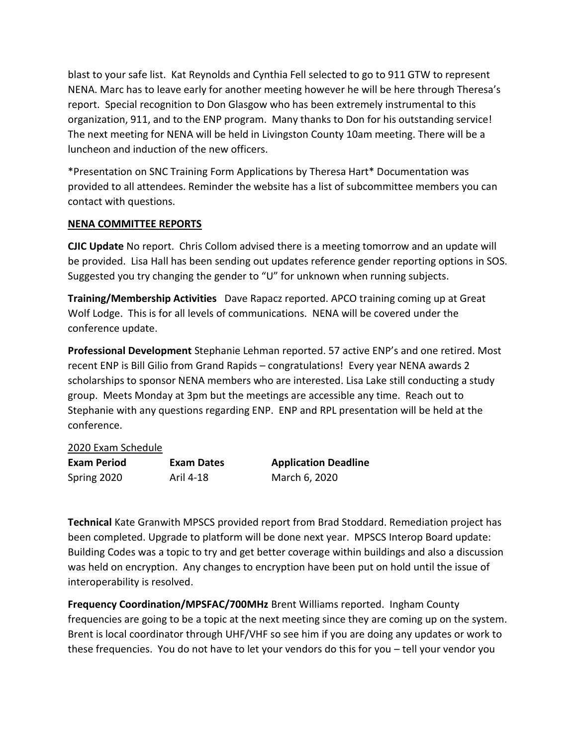blast to your safe list. Kat Reynolds and Cynthia Fell selected to go to 911 GTW to represent NENA. Marc has to leave early for another meeting however he will be here through Theresa's report. Special recognition to Don Glasgow who has been extremely instrumental to this organization, 911, and to the ENP program. Many thanks to Don for his outstanding service! The next meeting for NENA will be held in Livingston County 10am meeting. There will be a luncheon and induction of the new officers.

\*Presentation on SNC Training Form Applications by Theresa Hart\* Documentation was provided to all attendees. Reminder the website has a list of subcommittee members you can contact with questions.

### **NENA COMMITTEE REPORTS**

**CJIC Update** No report. Chris Collom advised there is a meeting tomorrow and an update will be provided. Lisa Hall has been sending out updates reference gender reporting options in SOS. Suggested you try changing the gender to "U" for unknown when running subjects.

**Training/Membership Activities** Dave Rapacz reported. APCO training coming up at Great Wolf Lodge. This is for all levels of communications. NENA will be covered under the conference update.

**Professional Development** Stephanie Lehman reported. 57 active ENP's and one retired. Most recent ENP is Bill Gilio from Grand Rapids – congratulations! Every year NENA awards 2 scholarships to sponsor NENA members who are interested. Lisa Lake still conducting a study group. Meets Monday at 3pm but the meetings are accessible any time. Reach out to Stephanie with any questions regarding ENP. ENP and RPL presentation will be held at the conference.

### 2020 Exam Schedule

| <b>Exam Period</b> | Exam Dates | <b>Application Deadline</b> |
|--------------------|------------|-----------------------------|
| Spring 2020        | Aril 4-18  | March 6, 2020               |

**Technical** Kate Granwith MPSCS provided report from Brad Stoddard. Remediation project has been completed. Upgrade to platform will be done next year. MPSCS Interop Board update: Building Codes was a topic to try and get better coverage within buildings and also a discussion was held on encryption. Any changes to encryption have been put on hold until the issue of interoperability is resolved.

**Frequency Coordination/MPSFAC/700MHz** Brent Williams reported. Ingham County frequencies are going to be a topic at the next meeting since they are coming up on the system. Brent is local coordinator through UHF/VHF so see him if you are doing any updates or work to these frequencies. You do not have to let your vendors do this for you – tell your vendor you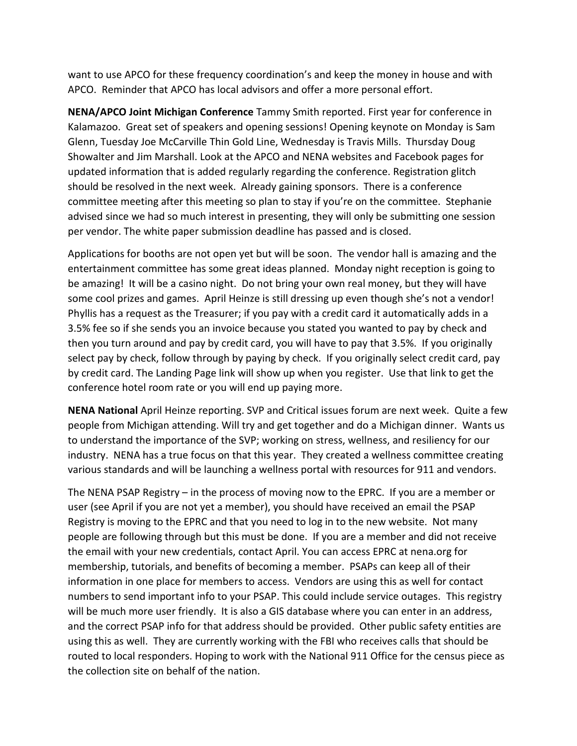want to use APCO for these frequency coordination's and keep the money in house and with APCO. Reminder that APCO has local advisors and offer a more personal effort.

**NENA/APCO Joint Michigan Conference** Tammy Smith reported. First year for conference in Kalamazoo. Great set of speakers and opening sessions! Opening keynote on Monday is Sam Glenn, Tuesday Joe McCarville Thin Gold Line, Wednesday is Travis Mills. Thursday Doug Showalter and Jim Marshall. Look at the APCO and NENA websites and Facebook pages for updated information that is added regularly regarding the conference. Registration glitch should be resolved in the next week. Already gaining sponsors. There is a conference committee meeting after this meeting so plan to stay if you're on the committee. Stephanie advised since we had so much interest in presenting, they will only be submitting one session per vendor. The white paper submission deadline has passed and is closed.

Applications for booths are not open yet but will be soon. The vendor hall is amazing and the entertainment committee has some great ideas planned. Monday night reception is going to be amazing! It will be a casino night. Do not bring your own real money, but they will have some cool prizes and games. April Heinze is still dressing up even though she's not a vendor! Phyllis has a request as the Treasurer; if you pay with a credit card it automatically adds in a 3.5% fee so if she sends you an invoice because you stated you wanted to pay by check and then you turn around and pay by credit card, you will have to pay that 3.5%. If you originally select pay by check, follow through by paying by check. If you originally select credit card, pay by credit card. The Landing Page link will show up when you register. Use that link to get the conference hotel room rate or you will end up paying more.

**NENA National** April Heinze reporting. SVP and Critical issues forum are next week. Quite a few people from Michigan attending. Will try and get together and do a Michigan dinner. Wants us to understand the importance of the SVP; working on stress, wellness, and resiliency for our industry. NENA has a true focus on that this year. They created a wellness committee creating various standards and will be launching a wellness portal with resources for 911 and vendors.

The NENA PSAP Registry – in the process of moving now to the EPRC. If you are a member or user (see April if you are not yet a member), you should have received an email the PSAP Registry is moving to the EPRC and that you need to log in to the new website. Not many people are following through but this must be done. If you are a member and did not receive the email with your new credentials, contact April. You can access EPRC at nena.org for membership, tutorials, and benefits of becoming a member. PSAPs can keep all of their information in one place for members to access. Vendors are using this as well for contact numbers to send important info to your PSAP. This could include service outages. This registry will be much more user friendly. It is also a GIS database where you can enter in an address, and the correct PSAP info for that address should be provided. Other public safety entities are using this as well. They are currently working with the FBI who receives calls that should be routed to local responders. Hoping to work with the National 911 Office for the census piece as the collection site on behalf of the nation.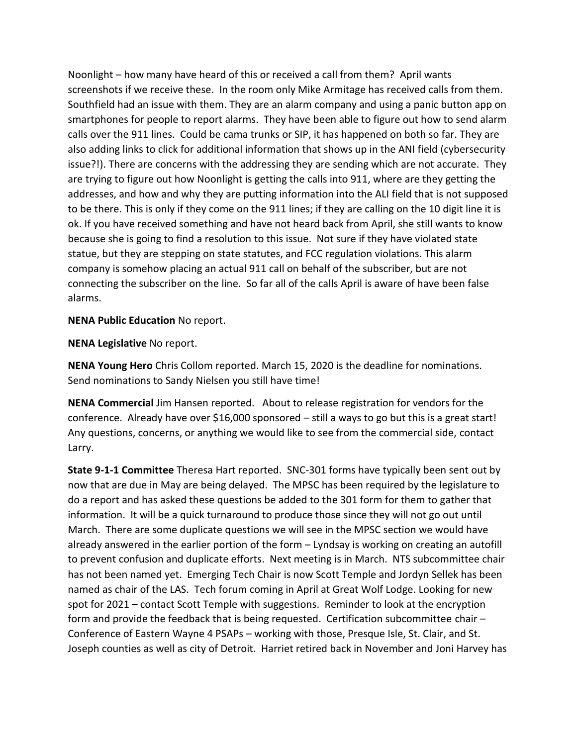Noonlight – how many have heard of this or received a call from them? April wants screenshots if we receive these. In the room only Mike Armitage has received calls from them. Southfield had an issue with them. They are an alarm company and using a panic button app on smartphones for people to report alarms. They have been able to figure out how to send alarm calls over the 911 lines. Could be cama trunks or SIP, it has happened on both so far. They are also adding links to click for additional information that shows up in the ANI field (cybersecurity issue?!). There are concerns with the addressing they are sending which are not accurate. They are trying to figure out how Noonlight is getting the calls into 911, where are they getting the addresses, and how and why they are putting information into the ALI field that is not supposed to be there. This is only if they come on the 911 lines; if they are calling on the 10 digit line it is ok. If you have received something and have not heard back from April, she still wants to know because she is going to find a resolution to this issue. Not sure if they have violated state statue, but they are stepping on state statutes, and FCC regulation violations. This alarm company is somehow placing an actual 911 call on behalf of the subscriber, but are not connecting the subscriber on the line. So far all of the calls April is aware of have been false alarms.

**NENA Public Education** No report.

**NENA Legislative** No report.

**NENA Young Hero** Chris Collom reported. March 15, 2020 is the deadline for nominations. Send nominations to Sandy Nielsen you still have time!

**NENA Commercial** Jim Hansen reported. About to release registration for vendors for the conference. Already have over \$16,000 sponsored – still a ways to go but this is a great start! Any questions, concerns, or anything we would like to see from the commercial side, contact Larry.

**State 9-1-1 Committee** Theresa Hart reported. SNC-301 forms have typically been sent out by now that are due in May are being delayed. The MPSC has been required by the legislature to do a report and has asked these questions be added to the 301 form for them to gather that information. It will be a quick turnaround to produce those since they will not go out until March. There are some duplicate questions we will see in the MPSC section we would have already answered in the earlier portion of the form – Lyndsay is working on creating an autofill to prevent confusion and duplicate efforts. Next meeting is in March. NTS subcommittee chair has not been named yet. Emerging Tech Chair is now Scott Temple and Jordyn Sellek has been named as chair of the LAS. Tech forum coming in April at Great Wolf Lodge. Looking for new spot for 2021 – contact Scott Temple with suggestions. Reminder to look at the encryption form and provide the feedback that is being requested. Certification subcommittee chair – Conference of Eastern Wayne 4 PSAPs – working with those, Presque Isle, St. Clair, and St. Joseph counties as well as city of Detroit. Harriet retired back in November and Joni Harvey has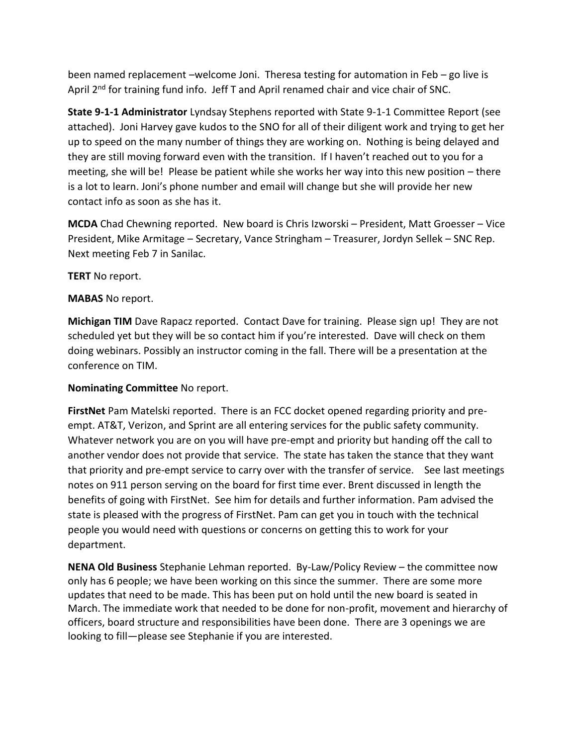been named replacement –welcome Joni. Theresa testing for automation in Feb – go live is April 2<sup>nd</sup> for training fund info. Jeff T and April renamed chair and vice chair of SNC.

**State 9-1-1 Administrator** Lyndsay Stephens reported with State 9-1-1 Committee Report (see attached). Joni Harvey gave kudos to the SNO for all of their diligent work and trying to get her up to speed on the many number of things they are working on. Nothing is being delayed and they are still moving forward even with the transition. If I haven't reached out to you for a meeting, she will be! Please be patient while she works her way into this new position – there is a lot to learn. Joni's phone number and email will change but she will provide her new contact info as soon as she has it.

**MCDA** Chad Chewning reported. New board is Chris Izworski – President, Matt Groesser – Vice President, Mike Armitage – Secretary, Vance Stringham – Treasurer, Jordyn Sellek – SNC Rep. Next meeting Feb 7 in Sanilac.

**TERT** No report.

### **MABAS** No report.

**Michigan TIM** Dave Rapacz reported. Contact Dave for training. Please sign up! They are not scheduled yet but they will be so contact him if you're interested. Dave will check on them doing webinars. Possibly an instructor coming in the fall. There will be a presentation at the conference on TIM.

#### **Nominating Committee** No report.

**FirstNet** Pam Matelski reported. There is an FCC docket opened regarding priority and preempt. AT&T, Verizon, and Sprint are all entering services for the public safety community. Whatever network you are on you will have pre-empt and priority but handing off the call to another vendor does not provide that service. The state has taken the stance that they want that priority and pre-empt service to carry over with the transfer of service. See last meetings notes on 911 person serving on the board for first time ever. Brent discussed in length the benefits of going with FirstNet. See him for details and further information. Pam advised the state is pleased with the progress of FirstNet. Pam can get you in touch with the technical people you would need with questions or concerns on getting this to work for your department.

**NENA Old Business** Stephanie Lehman reported. By-Law/Policy Review – the committee now only has 6 people; we have been working on this since the summer. There are some more updates that need to be made. This has been put on hold until the new board is seated in March. The immediate work that needed to be done for non-profit, movement and hierarchy of officers, board structure and responsibilities have been done. There are 3 openings we are looking to fill—please see Stephanie if you are interested.